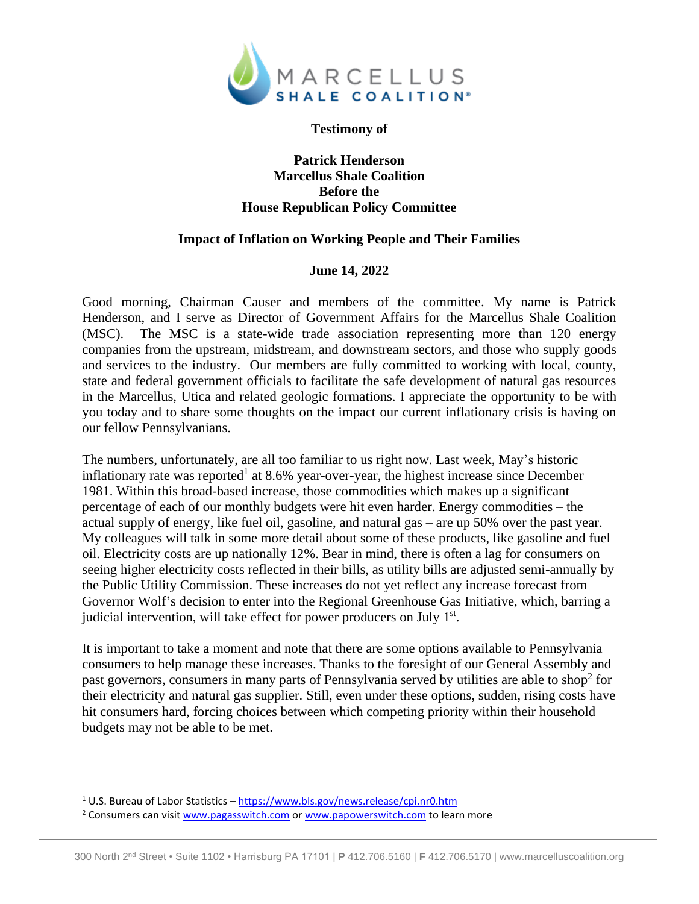

## **Testimony of**

## **Patrick Henderson Marcellus Shale Coalition Before the House Republican Policy Committee**

## **Impact of Inflation on Working People and Their Families**

## **June 14, 2022**

Good morning, Chairman Causer and members of the committee. My name is Patrick Henderson, and I serve as Director of Government Affairs for the Marcellus Shale Coalition (MSC). The MSC is a state-wide trade association representing more than 120 energy companies from the upstream, midstream, and downstream sectors, and those who supply goods and services to the industry. Our members are fully committed to working with local, county, state and federal government officials to facilitate the safe development of natural gas resources in the Marcellus, Utica and related geologic formations. I appreciate the opportunity to be with you today and to share some thoughts on the impact our current inflationary crisis is having on our fellow Pennsylvanians.

The numbers, unfortunately, are all too familiar to us right now. Last week, May's historic inflationary rate was reported<sup>1</sup> at 8.6% year-over-year, the highest increase since December 1981. Within this broad-based increase, those commodities which makes up a significant percentage of each of our monthly budgets were hit even harder. Energy commodities – the actual supply of energy, like fuel oil, gasoline, and natural gas – are up 50% over the past year. My colleagues will talk in some more detail about some of these products, like gasoline and fuel oil. Electricity costs are up nationally 12%. Bear in mind, there is often a lag for consumers on seeing higher electricity costs reflected in their bills, as utility bills are adjusted semi-annually by the Public Utility Commission. These increases do not yet reflect any increase forecast from Governor Wolf's decision to enter into the Regional Greenhouse Gas Initiative, which, barring a judicial intervention, will take effect for power producers on July 1st.

It is important to take a moment and note that there are some options available to Pennsylvania consumers to help manage these increases. Thanks to the foresight of our General Assembly and past governors, consumers in many parts of Pennsylvania served by utilities are able to shop<sup>2</sup> for their electricity and natural gas supplier. Still, even under these options, sudden, rising costs have hit consumers hard, forcing choices between which competing priority within their household budgets may not be able to be met.

<sup>1</sup> U.S. Bureau of Labor Statistics – <https://www.bls.gov/news.release/cpi.nr0.htm>

<sup>&</sup>lt;sup>2</sup> Consumers can visi[t www.pagasswitch.com](http://www.pagasswitch.com/) or [www.papowerswitch.com](http://www.papowerswitch.com/) to learn more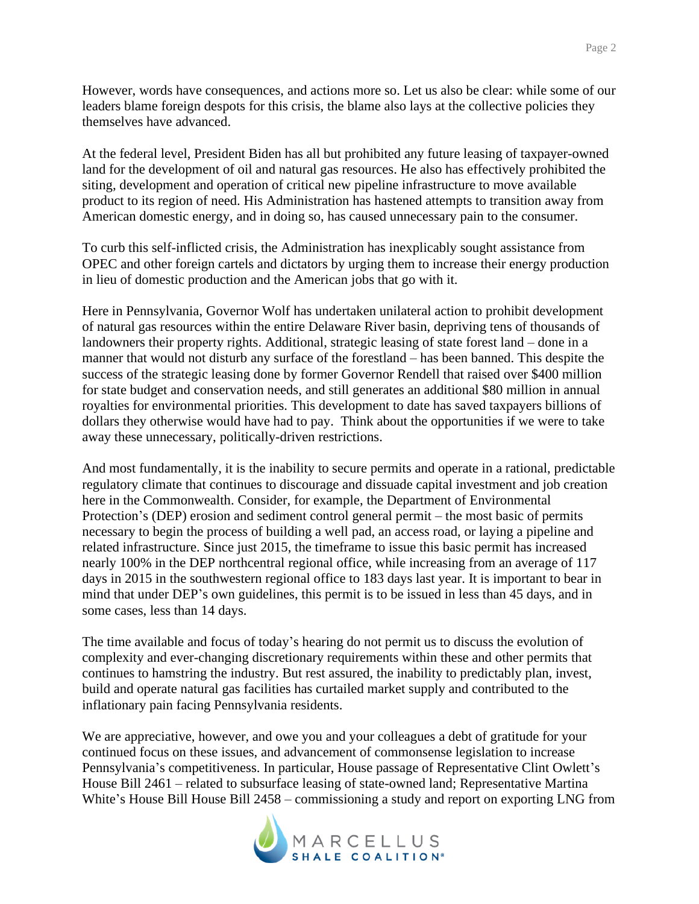However, words have consequences, and actions more so. Let us also be clear: while some of our leaders blame foreign despots for this crisis, the blame also lays at the collective policies they themselves have advanced.

At the federal level, President Biden has all but prohibited any future leasing of taxpayer-owned land for the development of oil and natural gas resources. He also has effectively prohibited the siting, development and operation of critical new pipeline infrastructure to move available product to its region of need. His Administration has hastened attempts to transition away from American domestic energy, and in doing so, has caused unnecessary pain to the consumer.

To curb this self-inflicted crisis, the Administration has inexplicably sought assistance from OPEC and other foreign cartels and dictators by urging them to increase their energy production in lieu of domestic production and the American jobs that go with it.

Here in Pennsylvania, Governor Wolf has undertaken unilateral action to prohibit development of natural gas resources within the entire Delaware River basin, depriving tens of thousands of landowners their property rights. Additional, strategic leasing of state forest land – done in a manner that would not disturb any surface of the forestland – has been banned. This despite the success of the strategic leasing done by former Governor Rendell that raised over \$400 million for state budget and conservation needs, and still generates an additional \$80 million in annual royalties for environmental priorities. This development to date has saved taxpayers billions of dollars they otherwise would have had to pay. Think about the opportunities if we were to take away these unnecessary, politically-driven restrictions.

And most fundamentally, it is the inability to secure permits and operate in a rational, predictable regulatory climate that continues to discourage and dissuade capital investment and job creation here in the Commonwealth. Consider, for example, the Department of Environmental Protection's (DEP) erosion and sediment control general permit – the most basic of permits necessary to begin the process of building a well pad, an access road, or laying a pipeline and related infrastructure. Since just 2015, the timeframe to issue this basic permit has increased nearly 100% in the DEP northcentral regional office, while increasing from an average of 117 days in 2015 in the southwestern regional office to 183 days last year. It is important to bear in mind that under DEP's own guidelines, this permit is to be issued in less than 45 days, and in some cases, less than 14 days.

The time available and focus of today's hearing do not permit us to discuss the evolution of complexity and ever-changing discretionary requirements within these and other permits that continues to hamstring the industry. But rest assured, the inability to predictably plan, invest, build and operate natural gas facilities has curtailed market supply and contributed to the inflationary pain facing Pennsylvania residents.

We are appreciative, however, and owe you and your colleagues a debt of gratitude for your continued focus on these issues, and advancement of commonsense legislation to increase Pennsylvania's competitiveness. In particular, House passage of Representative Clint Owlett's House Bill 2461 – related to subsurface leasing of state-owned land; Representative Martina White's House Bill House Bill 2458 – commissioning a study and report on exporting LNG from